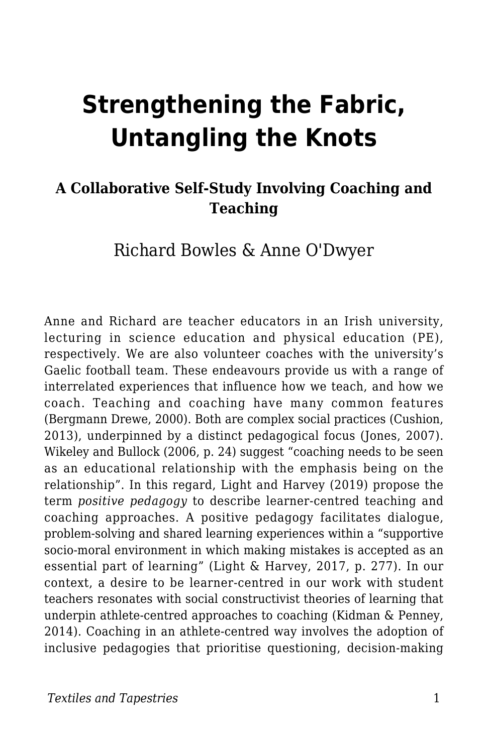# **Strengthening the Fabric, Untangling the Knots**

#### **A Collaborative Self-Study Involving Coaching and Teaching**

#### Richard Bowles & Anne O'Dwyer

Anne and Richard are teacher educators in an Irish university, lecturing in science education and physical education (PE), respectively. We are also volunteer coaches with the university's Gaelic football team. These endeavours provide us with a range of interrelated experiences that influence how we teach, and how we coach. Teaching and coaching have many common features (Bergmann Drewe, 2000). Both are complex social practices (Cushion, 2013), underpinned by a distinct pedagogical focus (Jones, 2007). Wikeley and Bullock (2006, p. 24) suggest "coaching needs to be seen as an educational relationship with the emphasis being on the relationship". In this regard, Light and Harvey (2019) propose the term *positive pedagogy* to describe learner-centred teaching and coaching approaches. A positive pedagogy facilitates dialogue, problem-solving and shared learning experiences within a "supportive socio-moral environment in which making mistakes is accepted as an essential part of learning" (Light & Harvey, 2017, p. 277). In our context, a desire to be learner-centred in our work with student teachers resonates with social constructivist theories of learning that underpin athlete-centred approaches to coaching (Kidman & Penney, 2014). Coaching in an athlete-centred way involves the adoption of inclusive pedagogies that prioritise questioning, decision-making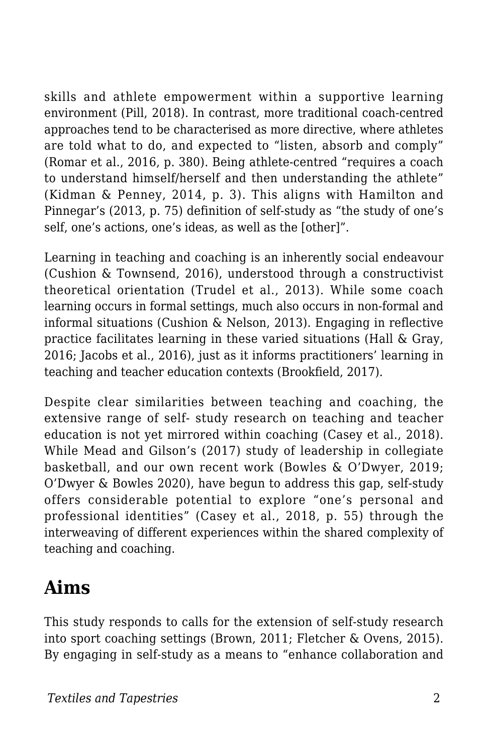skills and athlete empowerment within a supportive learning environment (Pill, 2018). In contrast, more traditional coach-centred approaches tend to be characterised as more directive, where athletes are told what to do, and expected to "listen, absorb and comply" (Romar et al., 2016, p. 380). Being athlete-centred "requires a coach to understand himself/herself and then understanding the athlete" (Kidman & Penney, 2014, p. 3). This aligns with Hamilton and Pinnegar's (2013, p. 75) definition of self-study as "the study of one's self, one's actions, one's ideas, as well as the [other]".

Learning in teaching and coaching is an inherently social endeavour (Cushion & Townsend, 2016), understood through a constructivist theoretical orientation (Trudel et al., 2013). While some coach learning occurs in formal settings, much also occurs in non-formal and informal situations (Cushion & Nelson, 2013). Engaging in reflective practice facilitates learning in these varied situations (Hall & Gray, 2016; Jacobs et al., 2016), just as it informs practitioners' learning in teaching and teacher education contexts (Brookfield, 2017).

Despite clear similarities between teaching and coaching, the extensive range of self- study research on teaching and teacher education is not yet mirrored within coaching (Casey et al., 2018). While Mead and Gilson's (2017) study of leadership in collegiate basketball, and our own recent work (Bowles & O'Dwyer, 2019; O'Dwyer & Bowles 2020), have begun to address this gap, self-study offers considerable potential to explore "one's personal and professional identities" (Casey et al., 2018, p. 55) through the interweaving of different experiences within the shared complexity of teaching and coaching.

### **Aims**

This study responds to calls for the extension of self-study research into sport coaching settings (Brown, 2011; Fletcher & Ovens, 2015). By engaging in self-study as a means to "enhance collaboration and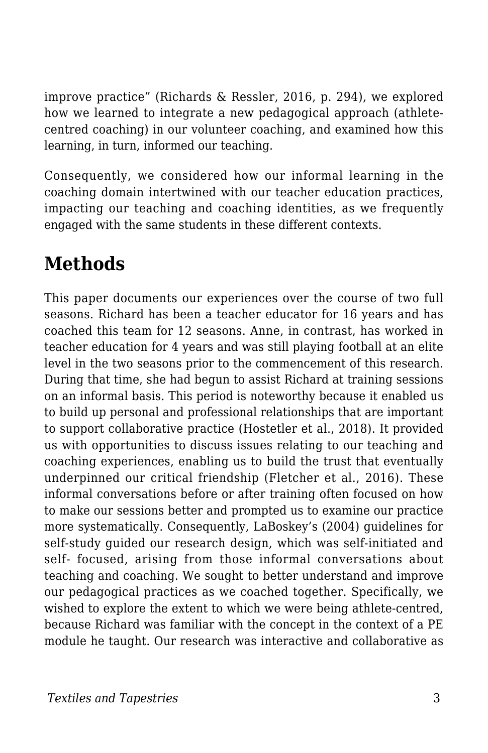improve practice" (Richards & Ressler, 2016, p. 294), we explored how we learned to integrate a new pedagogical approach (athletecentred coaching) in our volunteer coaching, and examined how this learning, in turn, informed our teaching.

Consequently, we considered how our informal learning in the coaching domain intertwined with our teacher education practices, impacting our teaching and coaching identities, as we frequently engaged with the same students in these different contexts.

## **Methods**

This paper documents our experiences over the course of two full seasons. Richard has been a teacher educator for 16 years and has coached this team for 12 seasons. Anne, in contrast, has worked in teacher education for 4 years and was still playing football at an elite level in the two seasons prior to the commencement of this research. During that time, she had begun to assist Richard at training sessions on an informal basis. This period is noteworthy because it enabled us to build up personal and professional relationships that are important to support collaborative practice (Hostetler et al., 2018). It provided us with opportunities to discuss issues relating to our teaching and coaching experiences, enabling us to build the trust that eventually underpinned our critical friendship (Fletcher et al., 2016). These informal conversations before or after training often focused on how to make our sessions better and prompted us to examine our practice more systematically. Consequently, LaBoskey's (2004) guidelines for self-study guided our research design, which was self-initiated and self- focused, arising from those informal conversations about teaching and coaching. We sought to better understand and improve our pedagogical practices as we coached together. Specifically, we wished to explore the extent to which we were being athlete-centred, because Richard was familiar with the concept in the context of a PE module he taught. Our research was interactive and collaborative as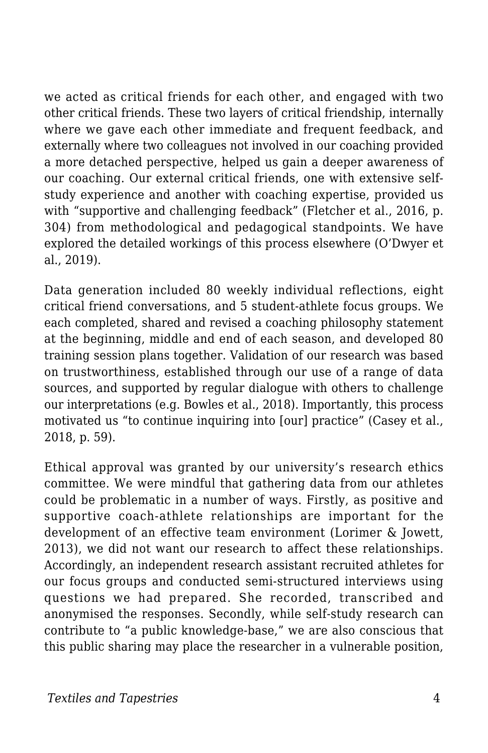we acted as critical friends for each other, and engaged with two other critical friends. These two layers of critical friendship, internally where we gave each other immediate and frequent feedback, and externally where two colleagues not involved in our coaching provided a more detached perspective, helped us gain a deeper awareness of our coaching. Our external critical friends, one with extensive selfstudy experience and another with coaching expertise, provided us with "supportive and challenging feedback" (Fletcher et al., 2016, p. 304) from methodological and pedagogical standpoints. We have explored the detailed workings of this process elsewhere (O'Dwyer et al., 2019).

Data generation included 80 weekly individual reflections, eight critical friend conversations, and 5 student-athlete focus groups. We each completed, shared and revised a coaching philosophy statement at the beginning, middle and end of each season, and developed 80 training session plans together. Validation of our research was based on trustworthiness, established through our use of a range of data sources, and supported by regular dialogue with others to challenge our interpretations (e.g. Bowles et al., 2018). Importantly, this process motivated us "to continue inquiring into [our] practice" (Casey et al., 2018, p. 59).

Ethical approval was granted by our university's research ethics committee. We were mindful that gathering data from our athletes could be problematic in a number of ways. Firstly, as positive and supportive coach-athlete relationships are important for the development of an effective team environment (Lorimer & Jowett, 2013), we did not want our research to affect these relationships. Accordingly, an independent research assistant recruited athletes for our focus groups and conducted semi-structured interviews using questions we had prepared. She recorded, transcribed and anonymised the responses. Secondly, while self-study research can contribute to "a public knowledge-base," we are also conscious that this public sharing may place the researcher in a vulnerable position,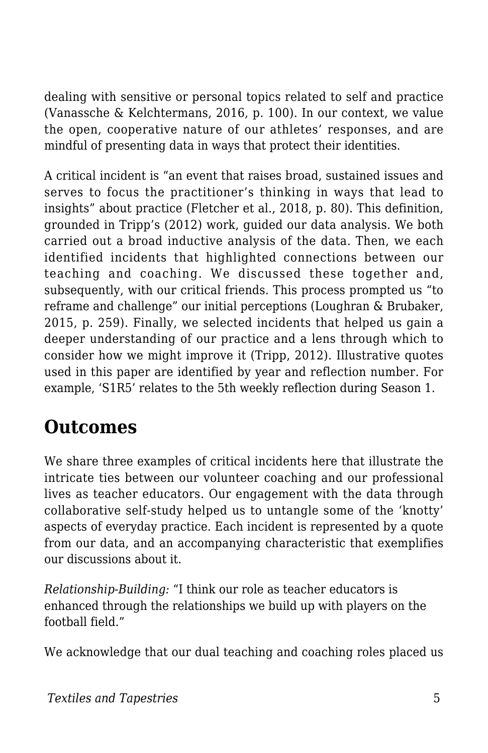dealing with sensitive or personal topics related to self and practice (Vanassche & Kelchtermans, 2016, p. 100). In our context, we value the open, cooperative nature of our athletes' responses, and are mindful of presenting data in ways that protect their identities.

A critical incident is "an event that raises broad, sustained issues and serves to focus the practitioner's thinking in ways that lead to insights" about practice (Fletcher et al., 2018, p. 80). This definition, grounded in Tripp's (2012) work, guided our data analysis. We both carried out a broad inductive analysis of the data. Then, we each identified incidents that highlighted connections between our teaching and coaching. We discussed these together and, subsequently, with our critical friends. This process prompted us "to reframe and challenge" our initial perceptions (Loughran & Brubaker, 2015, p. 259). Finally, we selected incidents that helped us gain a deeper understanding of our practice and a lens through which to consider how we might improve it (Tripp, 2012). Illustrative quotes used in this paper are identified by year and reflection number. For example, 'S1R5' relates to the 5th weekly reflection during Season 1.

### **Outcomes**

We share three examples of critical incidents here that illustrate the intricate ties between our volunteer coaching and our professional lives as teacher educators. Our engagement with the data through collaborative self-study helped us to untangle some of the 'knotty' aspects of everyday practice. Each incident is represented by a quote from our data, and an accompanying characteristic that exemplifies our discussions about it.

*Relationship-Building:* "I think our role as teacher educators is enhanced through the relationships we build up with players on the football field."

We acknowledge that our dual teaching and coaching roles placed us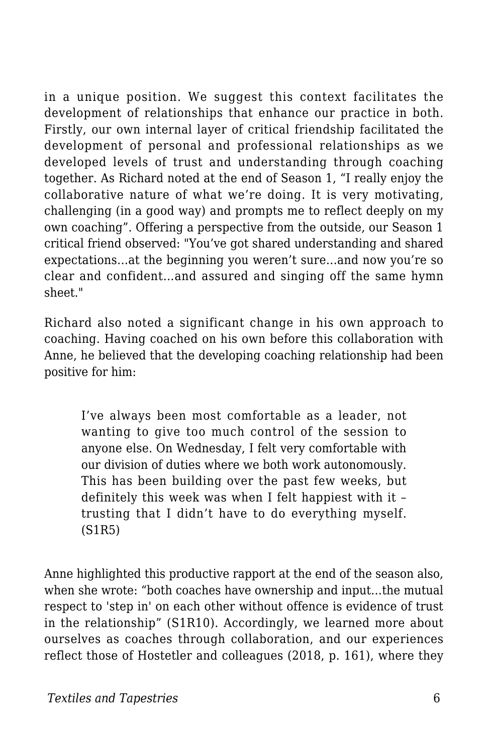in a unique position. We suggest this context facilitates the development of relationships that enhance our practice in both. Firstly, our own internal layer of critical friendship facilitated the development of personal and professional relationships as we developed levels of trust and understanding through coaching together. As Richard noted at the end of Season 1, "I really enjoy the collaborative nature of what we're doing. It is very motivating, challenging (in a good way) and prompts me to reflect deeply on my own coaching". Offering a perspective from the outside, our Season 1 critical friend observed: "You've got shared understanding and shared expectations…at the beginning you weren't sure…and now you're so clear and confident…and assured and singing off the same hymn sheet."

Richard also noted a significant change in his own approach to coaching. Having coached on his own before this collaboration with Anne, he believed that the developing coaching relationship had been positive for him:

I've always been most comfortable as a leader, not wanting to give too much control of the session to anyone else. On Wednesday, I felt very comfortable with our division of duties where we both work autonomously. This has been building over the past few weeks, but definitely this week was when I felt happiest with it – trusting that I didn't have to do everything myself. (S1R5)

Anne highlighted this productive rapport at the end of the season also, when she wrote: "both coaches have ownership and input…the mutual respect to 'step in' on each other without offence is evidence of trust in the relationship" (S1R10). Accordingly, we learned more about ourselves as coaches through collaboration, and our experiences reflect those of Hostetler and colleagues (2018, p. 161), where they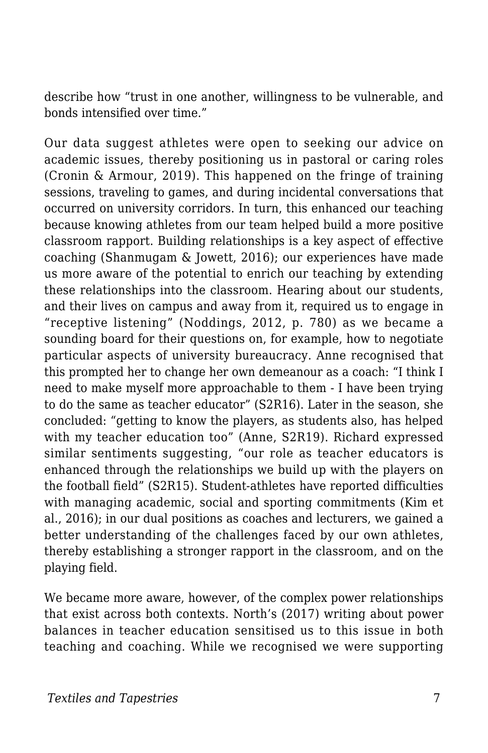describe how "trust in one another, willingness to be vulnerable, and bonds intensified over time."

Our data suggest athletes were open to seeking our advice on academic issues, thereby positioning us in pastoral or caring roles (Cronin & Armour, 2019). This happened on the fringe of training sessions, traveling to games, and during incidental conversations that occurred on university corridors. In turn, this enhanced our teaching because knowing athletes from our team helped build a more positive classroom rapport. Building relationships is a key aspect of effective coaching (Shanmugam & Jowett, 2016); our experiences have made us more aware of the potential to enrich our teaching by extending these relationships into the classroom. Hearing about our students, and their lives on campus and away from it, required us to engage in "receptive listening" (Noddings, 2012, p. 780) as we became a sounding board for their questions on, for example, how to negotiate particular aspects of university bureaucracy. Anne recognised that this prompted her to change her own demeanour as a coach: "I think I need to make myself more approachable to them - I have been trying to do the same as teacher educator" (S2R16). Later in the season, she concluded: "getting to know the players, as students also, has helped with my teacher education too" (Anne, S2R19). Richard expressed similar sentiments suggesting, "our role as teacher educators is enhanced through the relationships we build up with the players on the football field" (S2R15). Student-athletes have reported difficulties with managing academic, social and sporting commitments (Kim et al., 2016); in our dual positions as coaches and lecturers, we gained a better understanding of the challenges faced by our own athletes, thereby establishing a stronger rapport in the classroom, and on the playing field.

We became more aware, however, of the complex power relationships that exist across both contexts. North's (2017) writing about power balances in teacher education sensitised us to this issue in both teaching and coaching. While we recognised we were supporting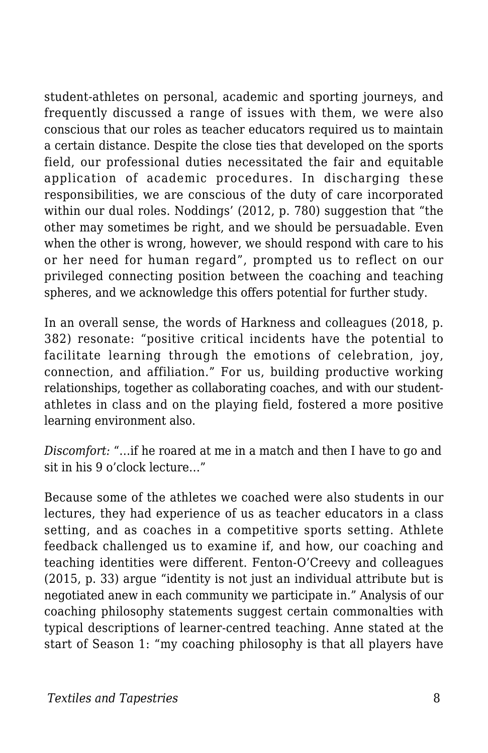student-athletes on personal, academic and sporting journeys, and frequently discussed a range of issues with them, we were also conscious that our roles as teacher educators required us to maintain a certain distance. Despite the close ties that developed on the sports field, our professional duties necessitated the fair and equitable application of academic procedures. In discharging these responsibilities, we are conscious of the duty of care incorporated within our dual roles. Noddings' (2012, p. 780) suggestion that "the other may sometimes be right, and we should be persuadable. Even when the other is wrong, however, we should respond with care to his or her need for human regard", prompted us to reflect on our privileged connecting position between the coaching and teaching spheres, and we acknowledge this offers potential for further study.

In an overall sense, the words of Harkness and colleagues (2018, p. 382) resonate: "positive critical incidents have the potential to facilitate learning through the emotions of celebration, joy, connection, and affiliation." For us, building productive working relationships, together as collaborating coaches, and with our studentathletes in class and on the playing field, fostered a more positive learning environment also.

*Discomfort:* "…if he roared at me in a match and then I have to go and sit in his 9 o'clock lecture…"

Because some of the athletes we coached were also students in our lectures, they had experience of us as teacher educators in a class setting, and as coaches in a competitive sports setting. Athlete feedback challenged us to examine if, and how, our coaching and teaching identities were different. Fenton-O'Creevy and colleagues (2015, p. 33) argue "identity is not just an individual attribute but is negotiated anew in each community we participate in." Analysis of our coaching philosophy statements suggest certain commonalties with typical descriptions of learner-centred teaching. Anne stated at the start of Season 1: "my coaching philosophy is that all players have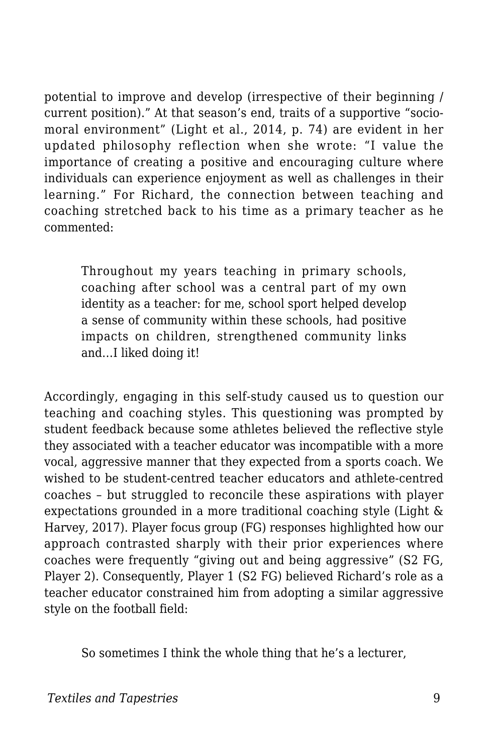potential to improve and develop (irrespective of their beginning / current position)." At that season's end, traits of a supportive "sociomoral environment" (Light et al., 2014, p. 74) are evident in her updated philosophy reflection when she wrote: "I value the importance of creating a positive and encouraging culture where individuals can experience enjoyment as well as challenges in their learning." For Richard, the connection between teaching and coaching stretched back to his time as a primary teacher as he commented:

Throughout my years teaching in primary schools, coaching after school was a central part of my own identity as a teacher: for me, school sport helped develop a sense of community within these schools, had positive impacts on children, strengthened community links and…I liked doing it!

Accordingly, engaging in this self-study caused us to question our teaching and coaching styles. This questioning was prompted by student feedback because some athletes believed the reflective style they associated with a teacher educator was incompatible with a more vocal, aggressive manner that they expected from a sports coach. We wished to be student-centred teacher educators and athlete-centred coaches – but struggled to reconcile these aspirations with player expectations grounded in a more traditional coaching style (Light & Harvey, 2017). Player focus group (FG) responses highlighted how our approach contrasted sharply with their prior experiences where coaches were frequently "giving out and being aggressive" (S2 FG, Player 2). Consequently, Player 1 (S2 FG) believed Richard's role as a teacher educator constrained him from adopting a similar aggressive style on the football field:

So sometimes I think the whole thing that he's a lecturer,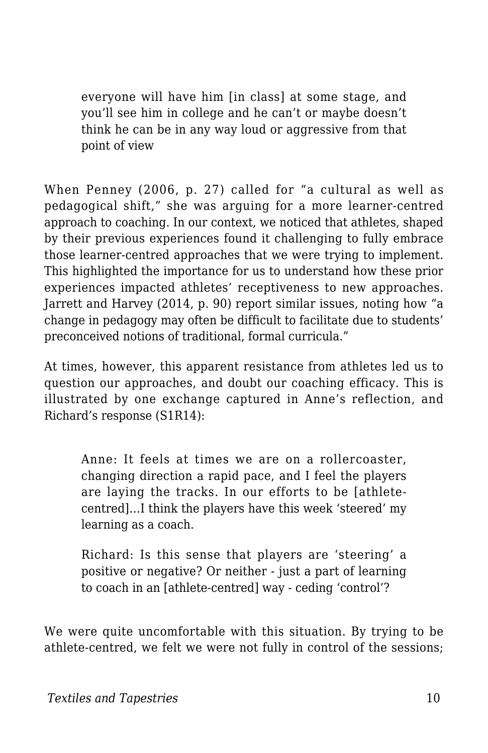everyone will have him [in class] at some stage, and you'll see him in college and he can't or maybe doesn't think he can be in any way loud or aggressive from that point of view

When Penney (2006, p. 27) called for "a cultural as well as pedagogical shift," she was arguing for a more learner-centred approach to coaching. In our context, we noticed that athletes, shaped by their previous experiences found it challenging to fully embrace those learner-centred approaches that we were trying to implement. This highlighted the importance for us to understand how these prior experiences impacted athletes' receptiveness to new approaches. Jarrett and Harvey (2014, p. 90) report similar issues, noting how "a change in pedagogy may often be difficult to facilitate due to students' preconceived notions of traditional, formal curricula."

At times, however, this apparent resistance from athletes led us to question our approaches, and doubt our coaching efficacy. This is illustrated by one exchange captured in Anne's reflection, and Richard's response (S1R14):

Anne: It feels at times we are on a rollercoaster, changing direction a rapid pace, and I feel the players are laying the tracks. In our efforts to be [athletecentred]…I think the players have this week 'steered' my learning as a coach.

Richard: Is this sense that players are 'steering' a positive or negative? Or neither - just a part of learning to coach in an [athlete-centred] way - ceding 'control'?

We were quite uncomfortable with this situation. By trying to be athlete-centred, we felt we were not fully in control of the sessions;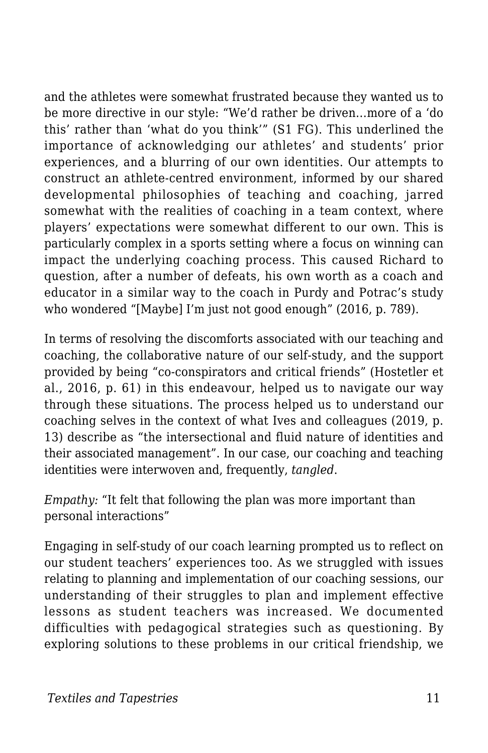and the athletes were somewhat frustrated because they wanted us to be more directive in our style: "We'd rather be driven…more of a 'do this' rather than 'what do you think'" (S1 FG). This underlined the importance of acknowledging our athletes' and students' prior experiences, and a blurring of our own identities. Our attempts to construct an athlete-centred environment, informed by our shared developmental philosophies of teaching and coaching, jarred somewhat with the realities of coaching in a team context, where players' expectations were somewhat different to our own. This is particularly complex in a sports setting where a focus on winning can impact the underlying coaching process. This caused Richard to question, after a number of defeats, his own worth as a coach and educator in a similar way to the coach in Purdy and Potrac's study who wondered "[Maybe] I'm just not good enough" (2016, p. 789).

In terms of resolving the discomforts associated with our teaching and coaching, the collaborative nature of our self-study, and the support provided by being "co-conspirators and critical friends" (Hostetler et al., 2016, p. 61) in this endeavour, helped us to navigate our way through these situations. The process helped us to understand our coaching selves in the context of what Ives and colleagues (2019, p. 13) describe as "the intersectional and fluid nature of identities and their associated management". In our case, our coaching and teaching identities were interwoven and, frequently, *tangled*.

*Empathy:* "It felt that following the plan was more important than personal interactions"

Engaging in self-study of our coach learning prompted us to reflect on our student teachers' experiences too. As we struggled with issues relating to planning and implementation of our coaching sessions, our understanding of their struggles to plan and implement effective lessons as student teachers was increased. We documented difficulties with pedagogical strategies such as questioning. By exploring solutions to these problems in our critical friendship, we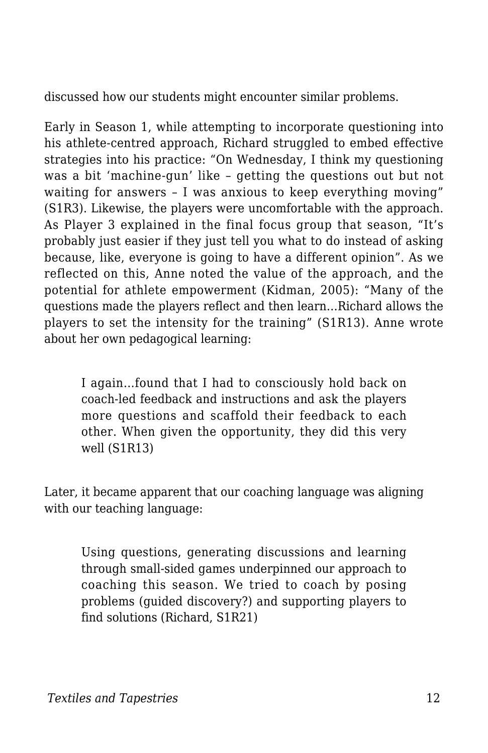discussed how our students might encounter similar problems.

Early in Season 1, while attempting to incorporate questioning into his athlete-centred approach, Richard struggled to embed effective strategies into his practice: "On Wednesday, I think my questioning was a bit 'machine-gun' like – getting the questions out but not waiting for answers – I was anxious to keep everything moving" (S1R3). Likewise, the players were uncomfortable with the approach. As Player 3 explained in the final focus group that season, "It's probably just easier if they just tell you what to do instead of asking because, like, everyone is going to have a different opinion". As we reflected on this, Anne noted the value of the approach, and the potential for athlete empowerment (Kidman, 2005): "Many of the questions made the players reflect and then learn…Richard allows the players to set the intensity for the training" (S1R13). Anne wrote about her own pedagogical learning:

I again…found that I had to consciously hold back on coach-led feedback and instructions and ask the players more questions and scaffold their feedback to each other. When given the opportunity, they did this very well (S1R13)

Later, it became apparent that our coaching language was aligning with our teaching language:

Using questions, generating discussions and learning through small-sided games underpinned our approach to coaching this season. We tried to coach by posing problems (guided discovery?) and supporting players to find solutions (Richard, S1R21)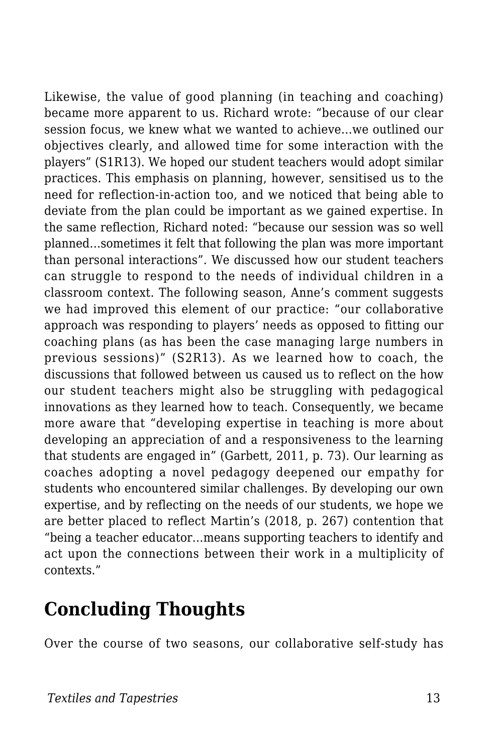Likewise, the value of good planning (in teaching and coaching) became more apparent to us. Richard wrote: "because of our clear session focus, we knew what we wanted to achieve…we outlined our objectives clearly, and allowed time for some interaction with the players" (S1R13). We hoped our student teachers would adopt similar practices. This emphasis on planning, however, sensitised us to the need for reflection-in-action too, and we noticed that being able to deviate from the plan could be important as we gained expertise. In the same reflection, Richard noted: "because our session was so well planned…sometimes it felt that following the plan was more important than personal interactions". We discussed how our student teachers can struggle to respond to the needs of individual children in a classroom context. The following season, Anne's comment suggests we had improved this element of our practice: "our collaborative approach was responding to players' needs as opposed to fitting our coaching plans (as has been the case managing large numbers in previous sessions)" (S2R13). As we learned how to coach, the discussions that followed between us caused us to reflect on the how our student teachers might also be struggling with pedagogical innovations as they learned how to teach. Consequently, we became more aware that "developing expertise in teaching is more about developing an appreciation of and a responsiveness to the learning that students are engaged in" (Garbett, 2011, p. 73). Our learning as coaches adopting a novel pedagogy deepened our empathy for students who encountered similar challenges. By developing our own expertise, and by reflecting on the needs of our students, we hope we are better placed to reflect Martin's (2018, p. 267) contention that "being a teacher educator…means supporting teachers to identify and act upon the connections between their work in a multiplicity of contexts."

### **Concluding Thoughts**

Over the course of two seasons, our collaborative self-study has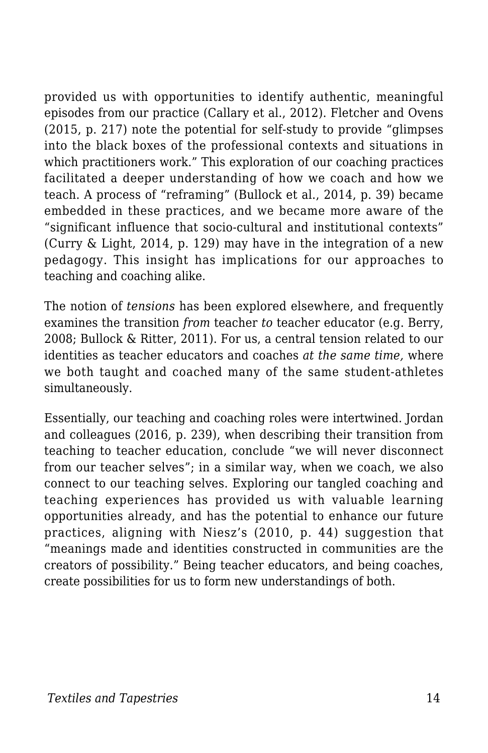provided us with opportunities to identify authentic, meaningful episodes from our practice (Callary et al., 2012). Fletcher and Ovens (2015, p. 217) note the potential for self-study to provide "glimpses into the black boxes of the professional contexts and situations in which practitioners work." This exploration of our coaching practices facilitated a deeper understanding of how we coach and how we teach. A process of "reframing" (Bullock et al., 2014, p. 39) became embedded in these practices, and we became more aware of the "significant influence that socio-cultural and institutional contexts" (Curry & Light, 2014, p. 129) may have in the integration of a new pedagogy. This insight has implications for our approaches to teaching and coaching alike.

The notion of *tensions* has been explored elsewhere, and frequently examines the transition *from* teacher *to* teacher educator (e.g. Berry, 2008; Bullock & Ritter, 2011). For us, a central tension related to our identities as teacher educators and coaches *at the same time,* where we both taught and coached many of the same student-athletes simultaneously.

Essentially, our teaching and coaching roles were intertwined. Jordan and colleagues (2016, p. 239), when describing their transition from teaching to teacher education, conclude "we will never disconnect from our teacher selves"; in a similar way, when we coach, we also connect to our teaching selves. Exploring our tangled coaching and teaching experiences has provided us with valuable learning opportunities already, and has the potential to enhance our future practices, aligning with Niesz's (2010, p. 44) suggestion that "meanings made and identities constructed in communities are the creators of possibility." Being teacher educators, and being coaches, create possibilities for us to form new understandings of both.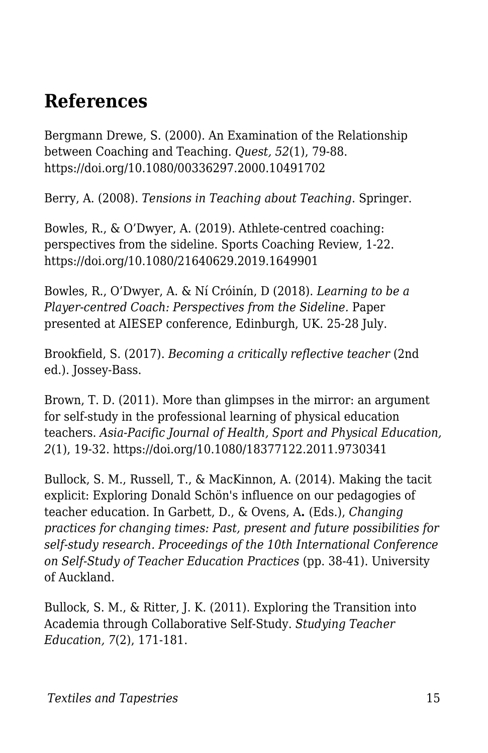#### **References**

Bergmann Drewe, S. (2000). An Examination of the Relationship between Coaching and Teaching. *Quest, 52*(1), 79-88. https://doi.org/10.1080/00336297.2000.10491702

Berry, A. (2008). *Tensions in Teaching about Teaching*. Springer.

Bowles, R., & O'Dwyer, A. (2019). Athlete-centred coaching: perspectives from the sideline. Sports Coaching Review, 1-22. https://doi.org/10.1080/21640629.2019.1649901

Bowles, R., O'Dwyer, A. & Ní Cróinín, D (2018). *Learning to be a Player-centred Coach: Perspectives from the Sideline.* Paper presented at AIESEP conference, Edinburgh, UK. 25-28 July.

Brookfield, S. (2017). *Becoming a critically reflective teacher* (2nd ed.). Jossey-Bass.

Brown, T. D. (2011). More than glimpses in the mirror: an argument for self-study in the professional learning of physical education teachers. *Asia-Pacific Journal of Health, Sport and Physical Education, 2*(1), 19-32. https://doi.org/10.1080/18377122.2011.9730341

Bullock, S. M., Russell, T., & MacKinnon, A. (2014). Making the tacit explicit: Exploring Donald Schön's influence on our pedagogies of teacher education. In Garbett, D., & Ovens, A**.** (Eds.), *Changing practices for changing times: Past, present and future possibilities for self-study research. Proceedings of the 10th International Conference on Self-Study of Teacher Education Practices* (pp. 38-41). University of Auckland.

Bullock, S. M., & Ritter, J. K. (2011). Exploring the Transition into Academia through Collaborative Self-Study. *Studying Teacher Education, 7*(2), 171-181.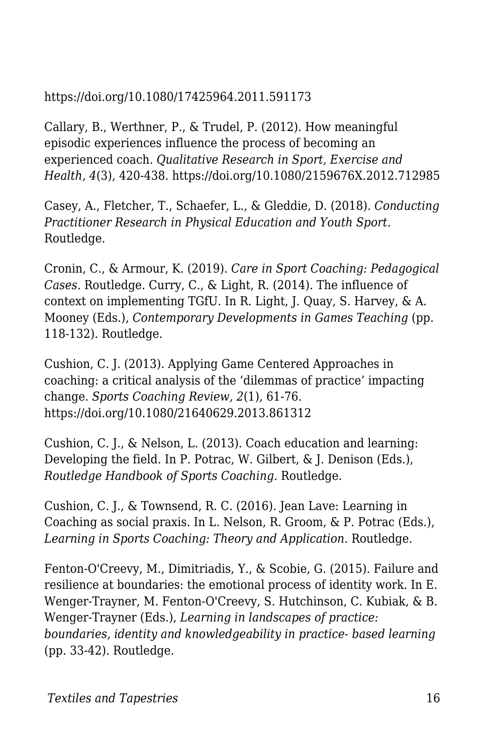#### https://doi.org/10.1080/17425964.2011.591173

Callary, B., Werthner, P., & Trudel, P. (2012). How meaningful episodic experiences influence the process of becoming an experienced coach. *Qualitative Research in Sport, Exercise and Health, 4*(3), 420-438. https://doi.org/10.1080/2159676X.2012.712985

Casey, A., Fletcher, T., Schaefer, L., & Gleddie, D. (2018). *Conducting Practitioner Research in Physical Education and Youth Sport*. Routledge.

Cronin, C., & Armour, K. (2019). *Care in Sport Coaching: Pedagogical Cases*. Routledge. Curry, C., & Light, R. (2014). The influence of context on implementing TGfU. In R. Light, J. Quay, S. Harvey, & A. Mooney (Eds.), *Contemporary Developments in Games Teaching* (pp. 118-132). Routledge.

Cushion, C. J. (2013). Applying Game Centered Approaches in coaching: a critical analysis of the 'dilemmas of practice' impacting change. *Sports Coaching Review, 2*(1), 61-76. https://doi.org/10.1080/21640629.2013.861312

Cushion, C. J., & Nelson, L. (2013). Coach education and learning: Developing the field. In P. Potrac, W. Gilbert, & J. Denison (Eds.), *Routledge Handbook of Sports Coaching*. Routledge.

Cushion, C. J., & Townsend, R. C. (2016). Jean Lave: Learning in Coaching as social praxis. In L. Nelson, R. Groom, & P. Potrac (Eds.), *Learning in Sports Coaching: Theory and Application*. Routledge.

Fenton-O'Creevy, M., Dimitriadis, Y., & Scobie, G. (2015). Failure and resilience at boundaries: the emotional process of identity work. In E. Wenger-Trayner, M. Fenton-O'Creevy, S. Hutchinson, C. Kubiak, & B. Wenger-Trayner (Eds.), *Learning in landscapes of practice: boundaries, identity and knowledgeability in practice- based learning* (pp. 33-42). Routledge.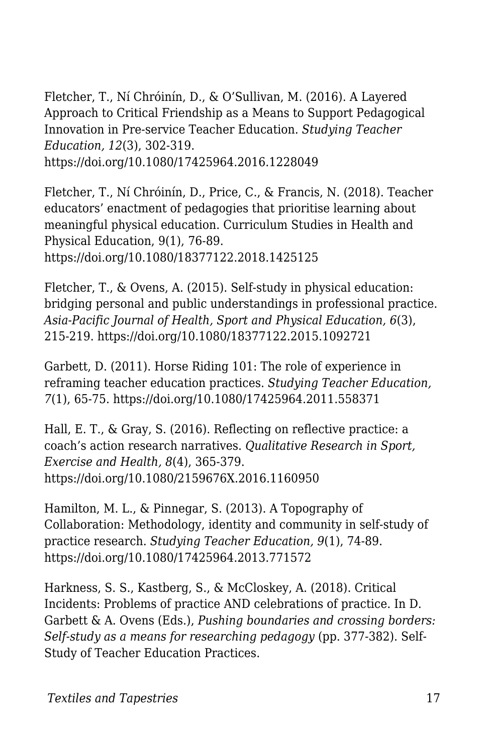Fletcher, T., Ní Chróinín, D., & O'Sullivan, M. (2016). A Layered Approach to Critical Friendship as a Means to Support Pedagogical Innovation in Pre-service Teacher Education. *Studying Teacher Education, 12*(3), 302-319. https://doi.org/10.1080/17425964.2016.1228049

Fletcher, T., Ní Chróinín, D., Price, C., & Francis, N. (2018). Teacher educators' enactment of pedagogies that prioritise learning about meaningful physical education. Curriculum Studies in Health and Physical Education, 9(1), 76-89. https://doi.org/10.1080/18377122.2018.1425125

Fletcher, T., & Ovens, A. (2015). Self-study in physical education: bridging personal and public understandings in professional practice. *Asia-Pacific Journal of Health, Sport and Physical Education, 6*(3), 215-219. https://doi.org/10.1080/18377122.2015.1092721

Garbett, D. (2011). Horse Riding 101: The role of experience in reframing teacher education practices. *Studying Teacher Education, 7*(1), 65-75. https://doi.org/10.1080/17425964.2011.558371

Hall, E. T., & Gray, S. (2016). Reflecting on reflective practice: a coach's action research narratives. *Qualitative Research in Sport, Exercise and Health, 8*(4), 365-379. https://doi.org/10.1080/2159676X.2016.1160950

Hamilton, M. L., & Pinnegar, S. (2013). A Topography of Collaboration: Methodology, identity and community in self-study of practice research. *Studying Teacher Education, 9*(1), 74-89. https://doi.org/10.1080/17425964.2013.771572

Harkness, S. S., Kastberg, S., & McCloskey, A. (2018). Critical Incidents: Problems of practice AND celebrations of practice. In D. Garbett & A. Ovens (Eds.), *Pushing boundaries and crossing borders: Self-study as a means for researching pedagogy* (pp. 377-382). Self-Study of Teacher Education Practices.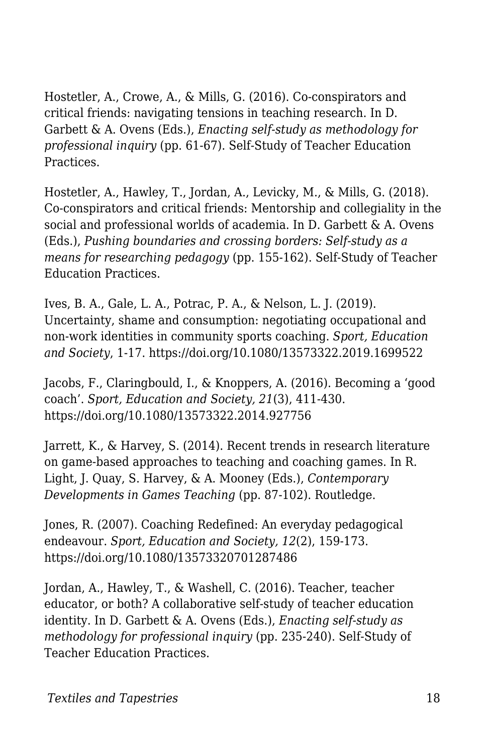Hostetler, A., Crowe, A., & Mills, G. (2016). Co-conspirators and critical friends: navigating tensions in teaching research. In D. Garbett & A. Ovens (Eds.), *Enacting self-study as methodology for professional inquiry* (pp. 61-67). Self-Study of Teacher Education Practices.

Hostetler, A., Hawley, T., Jordan, A., Levicky, M., & Mills, G. (2018). Co-conspirators and critical friends: Mentorship and collegiality in the social and professional worlds of academia. In D. Garbett & A. Ovens (Eds.), *Pushing boundaries and crossing borders: Self-study as a means for researching pedagogy* (pp. 155-162). Self-Study of Teacher Education Practices.

Ives, B. A., Gale, L. A., Potrac, P. A., & Nelson, L. J. (2019). Uncertainty, shame and consumption: negotiating occupational and non-work identities in community sports coaching. *Sport, Education and Society*, 1-17. https://doi.org/10.1080/13573322.2019.1699522

Jacobs, F., Claringbould, I., & Knoppers, A. (2016). Becoming a 'good coach'. *Sport, Education and Society, 21*(3), 411-430. https://doi.org/10.1080/13573322.2014.927756

Jarrett, K., & Harvey, S. (2014). Recent trends in research literature on game-based approaches to teaching and coaching games. In R. Light, J. Quay, S. Harvey, & A. Mooney (Eds.), *Contemporary Developments in Games Teaching* (pp. 87-102). Routledge.

Jones, R. (2007). Coaching Redefined: An everyday pedagogical endeavour. *Sport, Education and Society, 12*(2), 159-173. https://doi.org/10.1080/13573320701287486

Jordan, A., Hawley, T., & Washell, C. (2016). Teacher, teacher educator, or both? A collaborative self-study of teacher education identity. In D. Garbett & A. Ovens (Eds.), *Enacting self-study as methodology for professional inquiry* (pp. 235-240). Self-Study of Teacher Education Practices.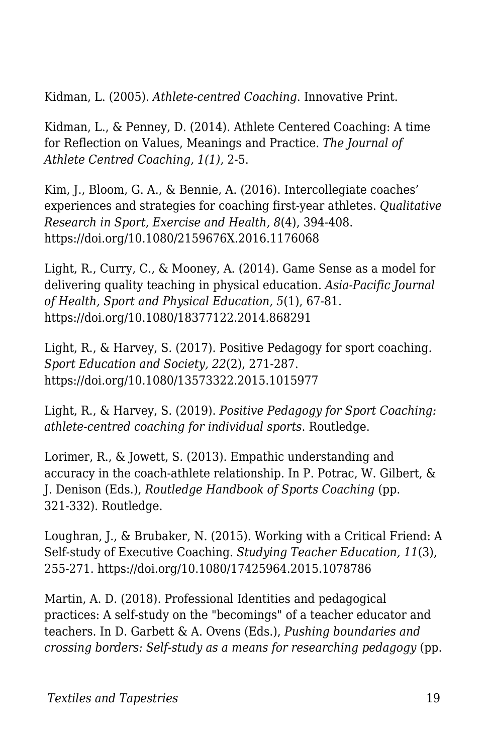Kidman, L. (2005). *Athlete-centred Coaching*. Innovative Print.

Kidman, L., & Penney, D. (2014). Athlete Centered Coaching: A time for Reflection on Values, Meanings and Practice. *The Journal of Athlete Centred Coaching, 1(1),* 2-5.

Kim, J., Bloom, G. A., & Bennie, A. (2016). Intercollegiate coaches' experiences and strategies for coaching first-year athletes. *Qualitative Research in Sport, Exercise and Health, 8*(4), 394-408. https://doi.org/10.1080/2159676X.2016.1176068

Light, R., Curry, C., & Mooney, A. (2014). Game Sense as a model for delivering quality teaching in physical education. *Asia-Pacific Journal of Health, Sport and Physical Education, 5*(1), 67-81. https://doi.org/10.1080/18377122.2014.868291

Light, R., & Harvey, S. (2017). Positive Pedagogy for sport coaching. *Sport Education and Society, 22*(2), 271-287. https://doi.org/10.1080/13573322.2015.1015977

Light, R., & Harvey, S. (2019). *Positive Pedagogy for Sport Coaching: athlete-centred coaching for individual sports*. Routledge.

Lorimer, R., & Jowett, S. (2013). Empathic understanding and accuracy in the coach-athlete relationship. In P. Potrac, W. Gilbert, & J. Denison (Eds.), *Routledge Handbook of Sports Coaching* (pp. 321-332). Routledge.

Loughran, J., & Brubaker, N. (2015). Working with a Critical Friend: A Self-study of Executive Coaching. *Studying Teacher Education, 11*(3), 255-271. https://doi.org/10.1080/17425964.2015.1078786

Martin, A. D. (2018). Professional Identities and pedagogical practices: A self-study on the "becomings" of a teacher educator and teachers. In D. Garbett & A. Ovens (Eds.), *Pushing boundaries and crossing borders: Self-study as a means for researching pedagogy* (pp.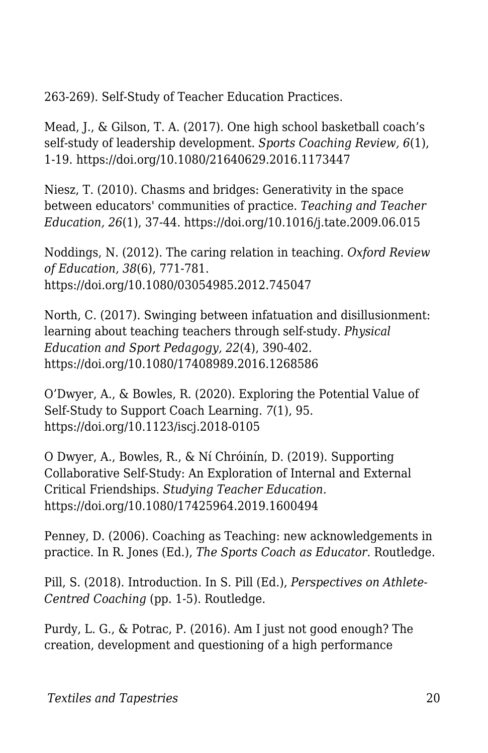263-269). Self-Study of Teacher Education Practices.

Mead, J., & Gilson, T. A. (2017). One high school basketball coach's self-study of leadership development. *Sports Coaching Review, 6*(1), 1-19. https://doi.org/10.1080/21640629.2016.1173447

Niesz, T. (2010). Chasms and bridges: Generativity in the space between educators' communities of practice. *Teaching and Teacher Education, 26*(1), 37-44. https://doi.org/10.1016/j.tate.2009.06.015

Noddings, N. (2012). The caring relation in teaching. *Oxford Review of Education, 38*(6), 771-781. https://doi.org/10.1080/03054985.2012.745047

North, C. (2017). Swinging between infatuation and disillusionment: learning about teaching teachers through self-study. *Physical Education and Sport Pedagogy, 22*(4), 390-402. https://doi.org/10.1080/17408989.2016.1268586

O'Dwyer, A., & Bowles, R. (2020). Exploring the Potential Value of Self-Study to Support Coach Learning. *7*(1), 95. https://doi.org/10.1123/iscj.2018-0105

O Dwyer, A., Bowles, R., & Ní Chróinín, D. (2019). Supporting Collaborative Self-Study: An Exploration of Internal and External Critical Friendships. *Studying Teacher Education*. https://doi.org/10.1080/17425964.2019.1600494

Penney, D. (2006). Coaching as Teaching: new acknowledgements in practice. In R. Jones (Ed.), *The Sports Coach as Educator*. Routledge.

Pill, S. (2018). Introduction. In S. Pill (Ed.), *Perspectives on Athlete-Centred Coaching* (pp. 1-5). Routledge.

Purdy, L. G., & Potrac, P. (2016). Am I just not good enough? The creation, development and questioning of a high performance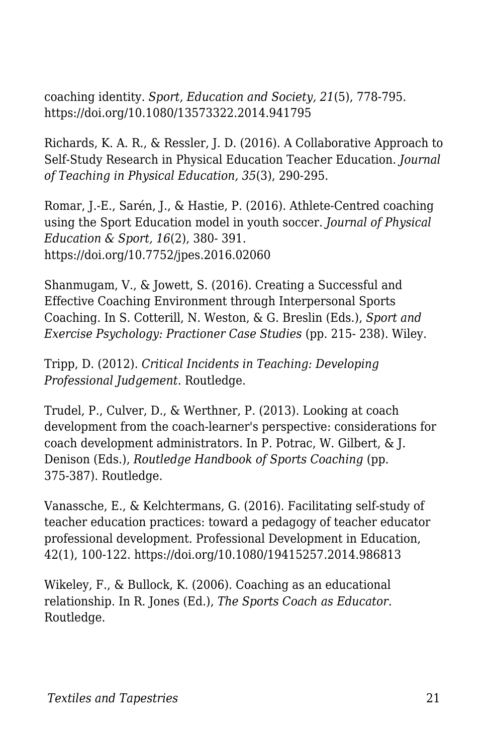coaching identity. *Sport, Education and Society, 21*(5), 778-795. https://doi.org/10.1080/13573322.2014.941795

Richards, K. A. R., & Ressler, J. D. (2016). A Collaborative Approach to Self-Study Research in Physical Education Teacher Education. *Journal of Teaching in Physical Education, 35*(3), 290-295.

Romar, J.-E., Sarén, J., & Hastie, P. (2016). Athlete-Centred coaching using the Sport Education model in youth soccer. *Journal of Physical Education & Sport, 16*(2), 380- 391. https://doi.org/10.7752/jpes.2016.02060

Shanmugam, V., & Jowett, S. (2016). Creating a Successful and Effective Coaching Environment through Interpersonal Sports Coaching. In S. Cotterill, N. Weston, & G. Breslin (Eds.), *Sport and Exercise Psychology: Practioner Case Studies* (pp. 215- 238). Wiley.

Tripp, D. (2012). *Critical Incidents in Teaching: Developing Professional Judgement*. Routledge.

Trudel, P., Culver, D., & Werthner, P. (2013). Looking at coach development from the coach-learner's perspective: considerations for coach development administrators. In P. Potrac, W. Gilbert, & J. Denison (Eds.), *Routledge Handbook of Sports Coaching* (pp. 375-387). Routledge.

Vanassche, E., & Kelchtermans, G. (2016). Facilitating self-study of teacher education practices: toward a pedagogy of teacher educator professional development. Professional Development in Education, 42(1), 100-122. https://doi.org/10.1080/19415257.2014.986813

Wikeley, F., & Bullock, K. (2006). Coaching as an educational relationship. In R. Jones (Ed.), *The Sports Coach as Educator*. Routledge.